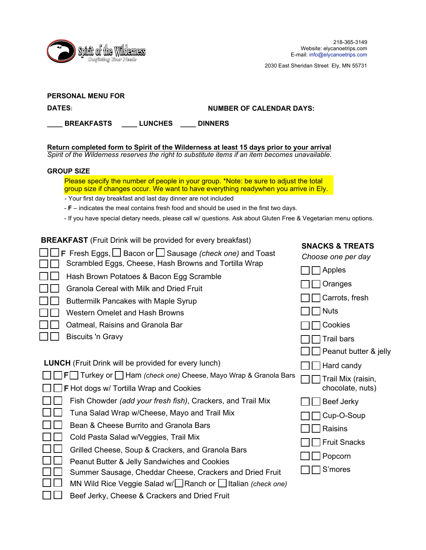

2030 East Sheridan Street Ely, MN 55731

| <b>PERSONAL MENU FOR</b>                                                                                                                                                                    |                                                                                                                                                                               |                                 |                                        |  |
|---------------------------------------------------------------------------------------------------------------------------------------------------------------------------------------------|-------------------------------------------------------------------------------------------------------------------------------------------------------------------------------|---------------------------------|----------------------------------------|--|
| DATES:                                                                                                                                                                                      |                                                                                                                                                                               | <b>NUMBER OF CALENDAR DAYS:</b> |                                        |  |
|                                                                                                                                                                                             | <b>BREAKFASTS</b><br><b>LUNCHES</b><br><b>DINNERS</b>                                                                                                                         |                                 |                                        |  |
|                                                                                                                                                                                             |                                                                                                                                                                               |                                 |                                        |  |
| Return completed form to Spirit of the Wilderness at least 15 days prior to your arrival<br>Spirit of the Wilderness reserves the right to substitute items if an item becomes unavailable. |                                                                                                                                                                               |                                 |                                        |  |
| <b>GROUP SIZE</b>                                                                                                                                                                           |                                                                                                                                                                               |                                 |                                        |  |
|                                                                                                                                                                                             | Please specify the number of people in your group. *Note: be sure to adjust the total<br>group size if changes occur. We want to have everything readywhen you arrive in Ely. |                                 |                                        |  |
|                                                                                                                                                                                             | - Your first day breakfast and last day dinner are not included                                                                                                               |                                 |                                        |  |
|                                                                                                                                                                                             | $- F$ – indicates the meal contains fresh food and should be used in the first two days.                                                                                      |                                 |                                        |  |
| - If you have special dietary needs, please call w/ questions. Ask about Gluten Free & Vegetarian menu options.                                                                             |                                                                                                                                                                               |                                 |                                        |  |
|                                                                                                                                                                                             | <b>BREAKFAST</b> (Fruit Drink will be provided for every breakfast)<br>F Fresh Eggs, $\Box$ Bacon or $\Box$ Sausage (check one) and Toast                                     |                                 | <b>SNACKS &amp; TREATS</b>             |  |
|                                                                                                                                                                                             | Scrambled Eggs, Cheese, Hash Browns and Tortilla Wrap                                                                                                                         |                                 | Choose one per day                     |  |
|                                                                                                                                                                                             | Hash Brown Potatoes & Bacon Egg Scramble                                                                                                                                      |                                 | Apples                                 |  |
|                                                                                                                                                                                             | Granola Cereal with Milk and Dried Fruit                                                                                                                                      |                                 | Oranges                                |  |
|                                                                                                                                                                                             | <b>Buttermilk Pancakes with Maple Syrup</b>                                                                                                                                   |                                 | Carrots, fresh                         |  |
|                                                                                                                                                                                             | <b>Western Omelet and Hash Browns</b>                                                                                                                                         |                                 | <b>Nuts</b>                            |  |
|                                                                                                                                                                                             | Oatmeal, Raisins and Granola Bar                                                                                                                                              |                                 | Cookies                                |  |
|                                                                                                                                                                                             | <b>Biscuits 'n Gravy</b>                                                                                                                                                      |                                 | <b>Trail bars</b>                      |  |
|                                                                                                                                                                                             |                                                                                                                                                                               |                                 | Peanut butter & jelly                  |  |
|                                                                                                                                                                                             | <b>LUNCH</b> (Fruit Drink will be provided for every lunch)                                                                                                                   |                                 |                                        |  |
|                                                                                                                                                                                             |                                                                                                                                                                               |                                 | Hard candy                             |  |
|                                                                                                                                                                                             | <b>F</b> Turkey or Ham (check one) Cheese, Mayo Wrap & Granola Bars<br>$\Box$ F Hot dogs w/ Tortilla Wrap and Cookies                                                         |                                 | Trail Mix (raisin,<br>chocolate, nuts) |  |
|                                                                                                                                                                                             | Fish Chowder (add your fresh fish), Crackers, and Trail Mix                                                                                                                   |                                 | $\Box\, \Box$ Beef Jerky               |  |
|                                                                                                                                                                                             | Tuna Salad Wrap w/Cheese, Mayo and Trail Mix                                                                                                                                  |                                 | Cup-O-Soup                             |  |
|                                                                                                                                                                                             | Bean & Cheese Burrito and Granola Bars                                                                                                                                        |                                 | Raisins                                |  |
|                                                                                                                                                                                             | Cold Pasta Salad w/Veggies, Trail Mix                                                                                                                                         |                                 | <b>Fruit Snacks</b>                    |  |
|                                                                                                                                                                                             | Grilled Cheese, Soup & Crackers, and Granola Bars                                                                                                                             |                                 |                                        |  |
|                                                                                                                                                                                             | Peanut Butter & Jelly Sandwiches and Cookies                                                                                                                                  |                                 | Popcorn                                |  |
|                                                                                                                                                                                             | Summer Sausage, Cheddar Cheese, Crackers and Dried Fruit                                                                                                                      |                                 | S'mores                                |  |
|                                                                                                                                                                                             | MN Wild Rice Veggie Salad w/ Ranch or Iltalian (check one)                                                                                                                    |                                 |                                        |  |

□□ Beef Jerky, Cheese & Crackers and Dried Fruit